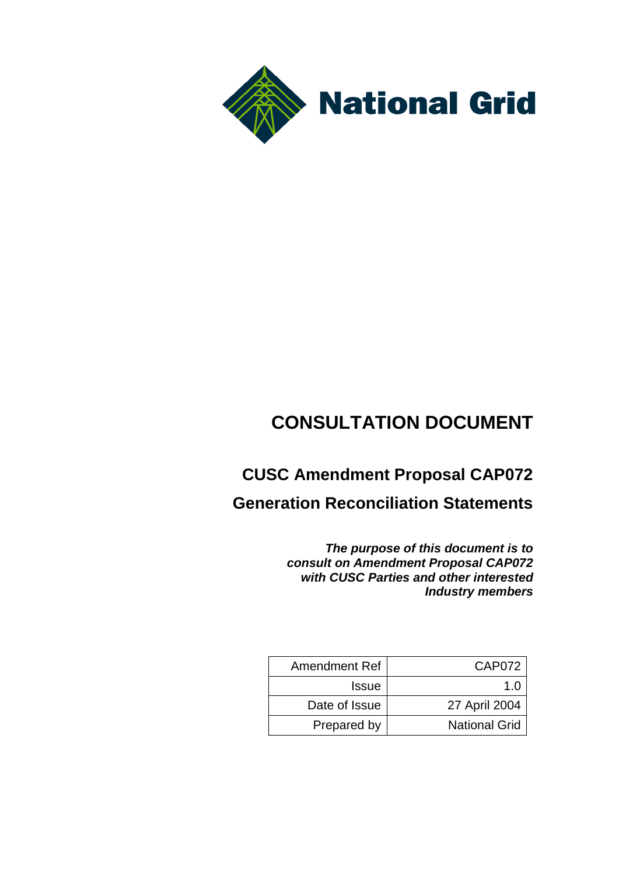

# **CONSULTATION DOCUMENT**

# **CUSC Amendment Proposal CAP072**

**Generation Reconciliation Statements**

*The purpose of this document is to consult on Amendment Proposal CAP072 with CUSC Parties and other interested Industry members*

| <b>Amendment Ref</b> | CAP072               |
|----------------------|----------------------|
| <b>Issue</b>         | 1 በ                  |
| Date of Issue        | 27 April 2004        |
| Prepared by          | <b>National Grid</b> |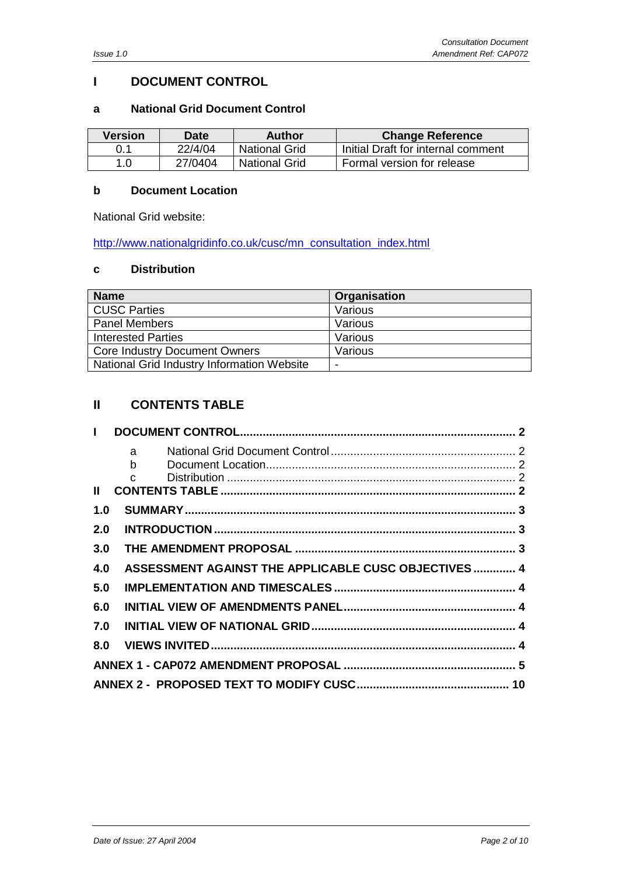# **I DOCUMENT CONTROL**

#### **a National Grid Document Control**

| <b>Version</b> | <b>Date</b> | <b>Author</b> | <b>Change Reference</b>            |
|----------------|-------------|---------------|------------------------------------|
| 0.1            | 22/4/04     | National Grid | Initial Draft for internal comment |
| 1.0            | 27/0404     | National Grid | Formal version for release         |

#### **b Document Location**

National Grid website:

[http://www.nationalgridinfo.co.uk/cusc/mn\\_consultation\\_index.html](http://www.nationalgridinfo.co.uk/cusc/mn_consultation_index.html)

#### **c Distribution**

| <b>Name</b>                                | Organisation |
|--------------------------------------------|--------------|
| <b>CUSC Parties</b>                        | Various      |
| <b>Panel Members</b>                       | Various      |
| Interested Parties                         | Various      |
| <b>Core Industry Document Owners</b>       | Various      |
| National Grid Industry Information Website |              |

# **II CONTENTS TABLE**

| $\mathbf{I}$ |                                                      |  |
|--------------|------------------------------------------------------|--|
|              | $a \qquad$                                           |  |
|              |                                                      |  |
|              | $\mathbf{C}$                                         |  |
| $\mathbf{I}$ |                                                      |  |
| 1.0          |                                                      |  |
| 2.0          |                                                      |  |
| 3.0          |                                                      |  |
| 4.0          | ASSESSMENT AGAINST THE APPLICABLE CUSC OBJECTIVES  4 |  |
| 5.0          |                                                      |  |
| 6.0          |                                                      |  |
| 7.0          |                                                      |  |
| 8.0          |                                                      |  |
|              |                                                      |  |
|              |                                                      |  |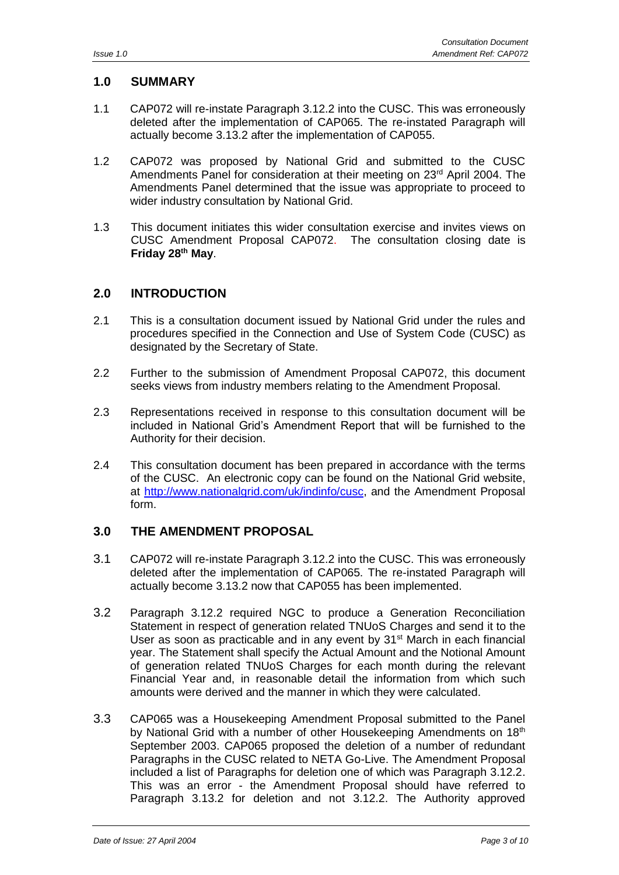# **1.0 SUMMARY**

- 1.1 CAP072 will re-instate Paragraph 3.12.2 into the CUSC. This was erroneously deleted after the implementation of CAP065. The re-instated Paragraph will actually become 3.13.2 after the implementation of CAP055.
- 1.2 CAP072 was proposed by National Grid and submitted to the CUSC Amendments Panel for consideration at their meeting on  $23<sup>rd</sup>$  April 2004. The Amendments Panel determined that the issue was appropriate to proceed to wider industry consultation by National Grid.
- 1.3 This document initiates this wider consultation exercise and invites views on CUSC Amendment Proposal CAP072. The consultation closing date is **Friday 28th May**.

# **2.0 INTRODUCTION**

- 2.1 This is a consultation document issued by National Grid under the rules and procedures specified in the Connection and Use of System Code (CUSC) as designated by the Secretary of State.
- 2.2 Further to the submission of Amendment Proposal CAP072, this document seeks views from industry members relating to the Amendment Proposal.
- 2.3 Representations received in response to this consultation document will be included in National Grid's Amendment Report that will be furnished to the Authority for their decision.
- 2.4 This consultation document has been prepared in accordance with the terms of the CUSC. An electronic copy can be found on the National Grid website, at [http://www.nationalgrid.com/uk/indinfo/cusc,](http://www.nationalgridinfo.co.uk/cusc) and the Amendment Proposal form.

### **3.0 THE AMENDMENT PROPOSAL**

- 3.1 CAP072 will re-instate Paragraph 3.12.2 into the CUSC. This was erroneously deleted after the implementation of CAP065. The re-instated Paragraph will actually become 3.13.2 now that CAP055 has been implemented.
- 3.2 Paragraph 3.12.2 required NGC to produce a Generation Reconciliation Statement in respect of generation related TNUoS Charges and send it to the User as soon as practicable and in any event by  $31<sup>st</sup>$  March in each financial year. The Statement shall specify the Actual Amount and the Notional Amount of generation related TNUoS Charges for each month during the relevant Financial Year and, in reasonable detail the information from which such amounts were derived and the manner in which they were calculated.
- 3.3 CAP065 was a Housekeeping Amendment Proposal submitted to the Panel by National Grid with a number of other Housekeeping Amendments on 18<sup>th</sup> September 2003. CAP065 proposed the deletion of a number of redundant Paragraphs in the CUSC related to NETA Go-Live. The Amendment Proposal included a list of Paragraphs for deletion one of which was Paragraph 3.12.2. This was an error - the Amendment Proposal should have referred to Paragraph 3.13.2 for deletion and not 3.12.2. The Authority approved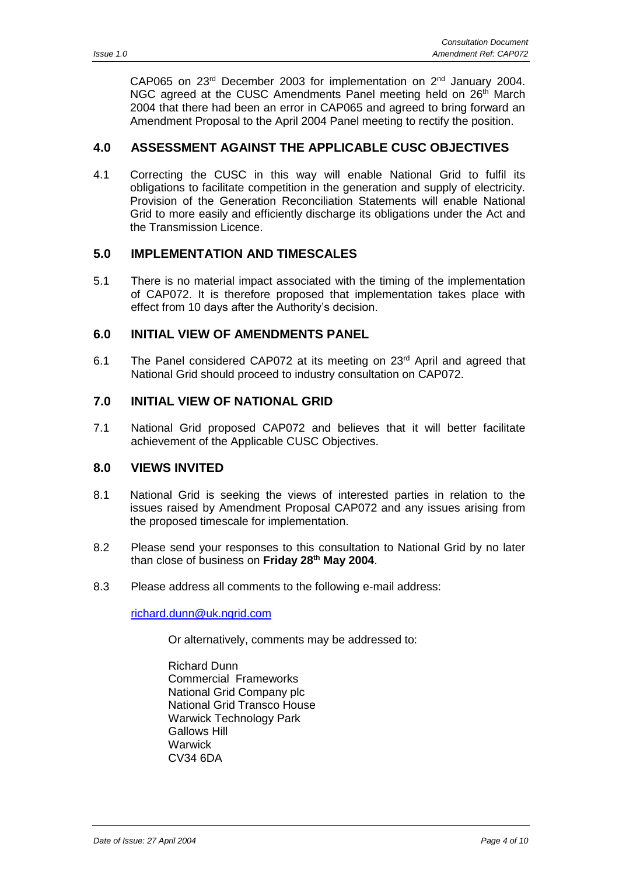CAP065 on 23<sup>rd</sup> December 2003 for implementation on 2<sup>nd</sup> January 2004. NGC agreed at the CUSC Amendments Panel meeting held on 26<sup>th</sup> March 2004 that there had been an error in CAP065 and agreed to bring forward an Amendment Proposal to the April 2004 Panel meeting to rectify the position.

#### **4.0 ASSESSMENT AGAINST THE APPLICABLE CUSC OBJECTIVES**

4.1 Correcting the CUSC in this way will enable National Grid to fulfil its obligations to facilitate competition in the generation and supply of electricity. Provision of the Generation Reconciliation Statements will enable National Grid to more easily and efficiently discharge its obligations under the Act and the Transmission Licence.

#### **5.0 IMPLEMENTATION AND TIMESCALES**

5.1 There is no material impact associated with the timing of the implementation of CAP072. It is therefore proposed that implementation takes place with effect from 10 days after the Authority's decision.

#### **6.0 INITIAL VIEW OF AMENDMENTS PANEL**

6.1 The Panel considered CAP072 at its meeting on  $23<sup>rd</sup>$  April and agreed that National Grid should proceed to industry consultation on CAP072.

#### **7.0 INITIAL VIEW OF NATIONAL GRID**

7.1 National Grid proposed CAP072 and believes that it will better facilitate achievement of the Applicable CUSC Objectives.

#### **8.0 VIEWS INVITED**

- 8.1 National Grid is seeking the views of interested parties in relation to the issues raised by Amendment Proposal CAP072 and any issues arising from the proposed timescale for implementation.
- 8.2 Please send your responses to this consultation to National Grid by no later than close of business on **Friday 28th May 2004**.
- 8.3 Please address all comments to the following e-mail address:

[richard.dunn@uk.ngrid.com](mailto:richard.dunn@uk.ngrid.com)

Or alternatively, comments may be addressed to:

Richard Dunn Commercial Frameworks National Grid Company plc National Grid Transco House Warwick Technology Park Gallows Hill **Warwick** CV34 6DA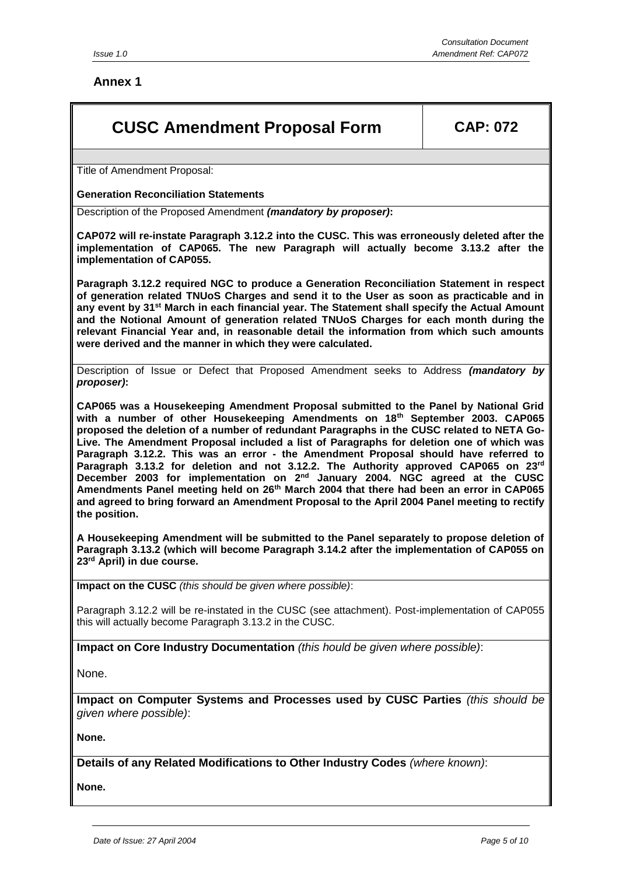#### **Annex 1**

# **CUSC Amendment Proposal Form CAP: 072**

Title of Amendment Proposal:

#### **Generation Reconciliation Statements**

Description of the Proposed Amendment *(mandatory by proposer)***:**

**CAP072 will re-instate Paragraph 3.12.2 into the CUSC. This was erroneously deleted after the implementation of CAP065. The new Paragraph will actually become 3.13.2 after the implementation of CAP055.** 

**Paragraph 3.12.2 required NGC to produce a Generation Reconciliation Statement in respect of generation related TNUoS Charges and send it to the User as soon as practicable and in any event by 31st March in each financial year. The Statement shall specify the Actual Amount and the Notional Amount of generation related TNUoS Charges for each month during the relevant Financial Year and, in reasonable detail the information from which such amounts were derived and the manner in which they were calculated.** 

Description of Issue or Defect that Proposed Amendment seeks to Address *(mandatory by proposer)***:**

**CAP065 was a Housekeeping Amendment Proposal submitted to the Panel by National Grid with a number of other Housekeeping Amendments on 18th September 2003. CAP065 proposed the deletion of a number of redundant Paragraphs in the CUSC related to NETA Go-Live. The Amendment Proposal included a list of Paragraphs for deletion one of which was Paragraph 3.12.2. This was an error - the Amendment Proposal should have referred to Paragraph 3.13.2 for deletion and not 3.12.2. The Authority approved CAP065 on 23rd December 2003 for implementation on 2nd January 2004. NGC agreed at the CUSC Amendments Panel meeting held on 26th March 2004 that there had been an error in CAP065 and agreed to bring forward an Amendment Proposal to the April 2004 Panel meeting to rectify the position.**

**A Housekeeping Amendment will be submitted to the Panel separately to propose deletion of Paragraph 3.13.2 (which will become Paragraph 3.14.2 after the implementation of CAP055 on 23rd April) in due course.** 

**Impact on the CUSC** *(this should be given where possible)*:

Paragraph 3.12.2 will be re-instated in the CUSC (see attachment). Post-implementation of CAP055 this will actually become Paragraph 3.13.2 in the CUSC.

**Impact on Core Industry Documentation** *(this hould be given where possible)*:

None.

**Impact on Computer Systems and Processes used by CUSC Parties** *(this should be given where possible)*:

**None.**

**Details of any Related Modifications to Other Industry Codes** *(where known)*:

**None.**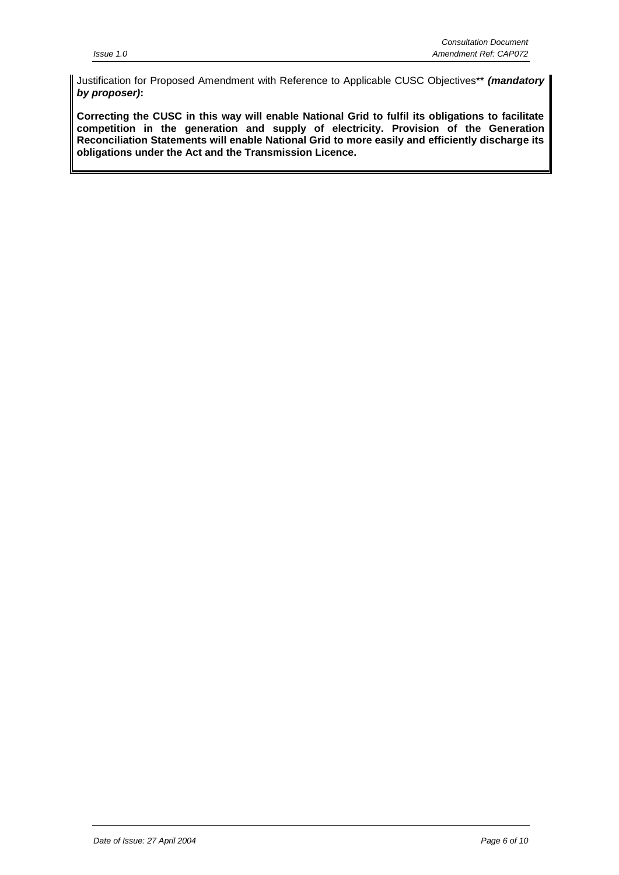Justification for Proposed Amendment with Reference to Applicable CUSC Objectives\*\* *(mandatory by proposer)***:**

**Correcting the CUSC in this way will enable National Grid to fulfil its obligations to facilitate competition in the generation and supply of electricity. Provision of the Generation Reconciliation Statements will enable National Grid to more easily and efficiently discharge its obligations under the Act and the Transmission Licence.**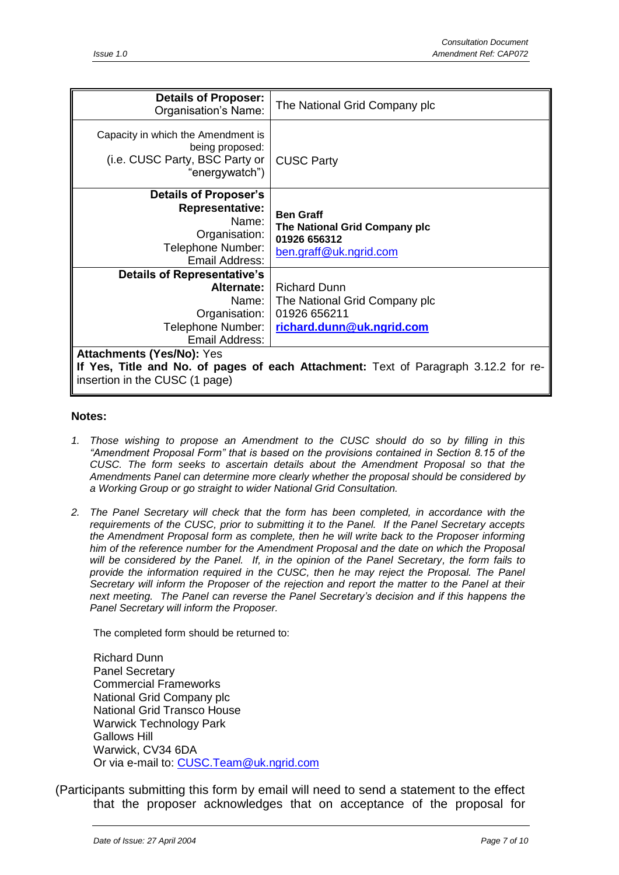| <b>Details of Proposer:</b><br>Organisation's Name:                                                                                                       | The National Grid Company plc                                                                     |  |
|-----------------------------------------------------------------------------------------------------------------------------------------------------------|---------------------------------------------------------------------------------------------------|--|
| Capacity in which the Amendment is<br>being proposed:<br>(i.e. CUSC Party, BSC Party or<br>"energywatch")                                                 | <b>CUSC Party</b>                                                                                 |  |
| <b>Details of Proposer's</b><br><b>Representative:</b><br>Name:<br>Organisation:<br>Telephone Number:<br>Email Address:                                   | <b>Ben Graff</b><br>The National Grid Company plc<br>01926 656312<br>ben.graff@uk.ngrid.com       |  |
| <b>Details of Representative's</b><br>Alternate:<br>Name:<br>Organisation:<br>Telephone Number:<br>Email Address:                                         | <b>Richard Dunn</b><br>The National Grid Company plc<br>01926 656211<br>richard.dunn@uk.ngrid.com |  |
| <b>Attachments (Yes/No): Yes</b><br>If Yes, Title and No. of pages of each Attachment: Text of Paragraph 3.12.2 for re-<br>insertion in the CUSC (1 page) |                                                                                                   |  |

#### **Notes:**

- *1. Those wishing to propose an Amendment to the CUSC should do so by filling in this "Amendment Proposal Form" that is based on the provisions contained in Section 8.15 of the CUSC. The form seeks to ascertain details about the Amendment Proposal so that the Amendments Panel can determine more clearly whether the proposal should be considered by a Working Group or go straight to wider National Grid Consultation.*
- *2. The Panel Secretary will check that the form has been completed, in accordance with the requirements of the CUSC, prior to submitting it to the Panel. If the Panel Secretary accepts the Amendment Proposal form as complete, then he will write back to the Proposer informing him of the reference number for the Amendment Proposal and the date on which the Proposal will be considered by the Panel. If, in the opinion of the Panel Secretary, the form fails to provide the information required in the CUSC, then he may reject the Proposal. The Panel Secretary will inform the Proposer of the rejection and report the matter to the Panel at their next meeting. The Panel can reverse the Panel Secretary's decision and if this happens the Panel Secretary will inform the Proposer.*

The completed form should be returned to:

Richard Dunn Panel Secretary Commercial Frameworks National Grid Company plc National Grid Transco House Warwick Technology Park Gallows Hill Warwick, CV34 6DA Or via e-mail to: [CUSC.Team@uk.ngrid.com](mailto:CUSC.Team@uk.ngrid.com)

(Participants submitting this form by email will need to send a statement to the effect that the proposer acknowledges that on acceptance of the proposal for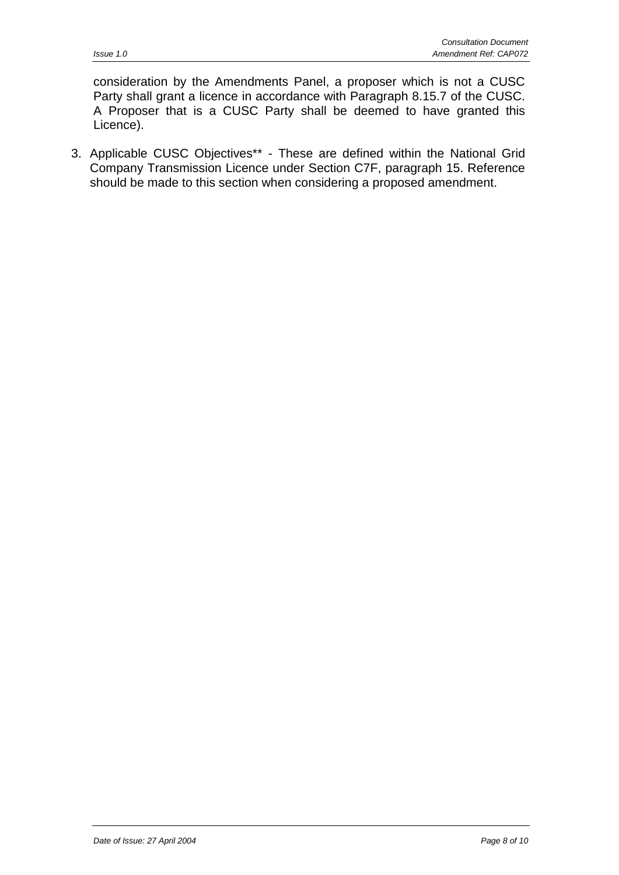consideration by the Amendments Panel, a proposer which is not a CUSC Party shall grant a licence in accordance with Paragraph 8.15.7 of the CUSC. A Proposer that is a CUSC Party shall be deemed to have granted this Licence).

3. Applicable CUSC Objectives\*\* - These are defined within the National Grid Company Transmission Licence under Section C7F, paragraph 15. Reference should be made to this section when considering a proposed amendment.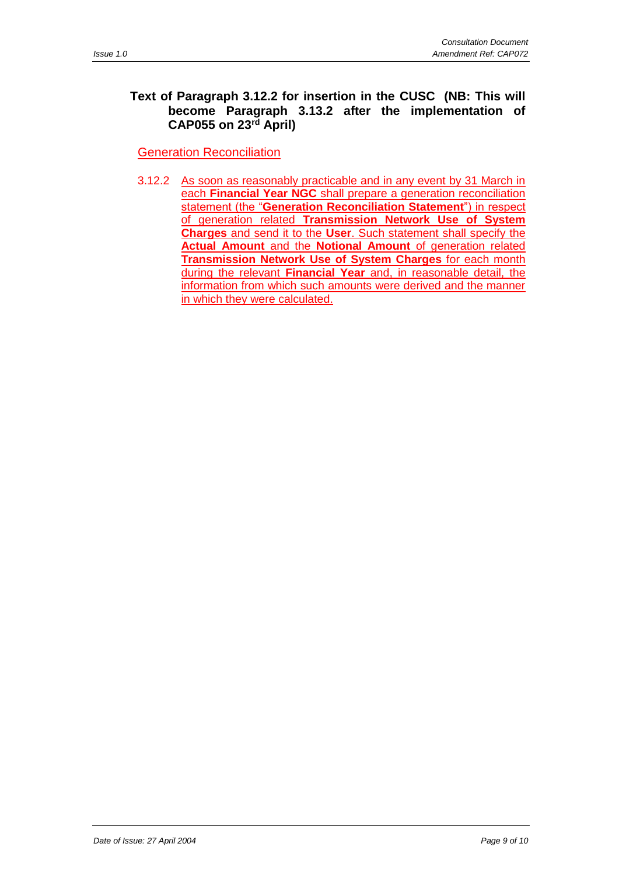#### **Text of Paragraph 3.12.2 for insertion in the CUSC (NB: This will become Paragraph 3.13.2 after the implementation of CAP055 on 23rd April)**

Generation Reconciliation

3.12.2 As soon as reasonably practicable and in any event by 31 March in each **Financial Year NGC** shall prepare a generation reconciliation statement (the "**Generation Reconciliation Statement**") in respect of generation related **Transmission Network Use of System Charges** and send it to the **User**. Such statement shall specify the **Actual Amount** and the **Notional Amount** of generation related **Transmission Network Use of System Charges** for each month during the relevant **Financial Year** and, in reasonable detail, the information from which such amounts were derived and the manner in which they were calculated.